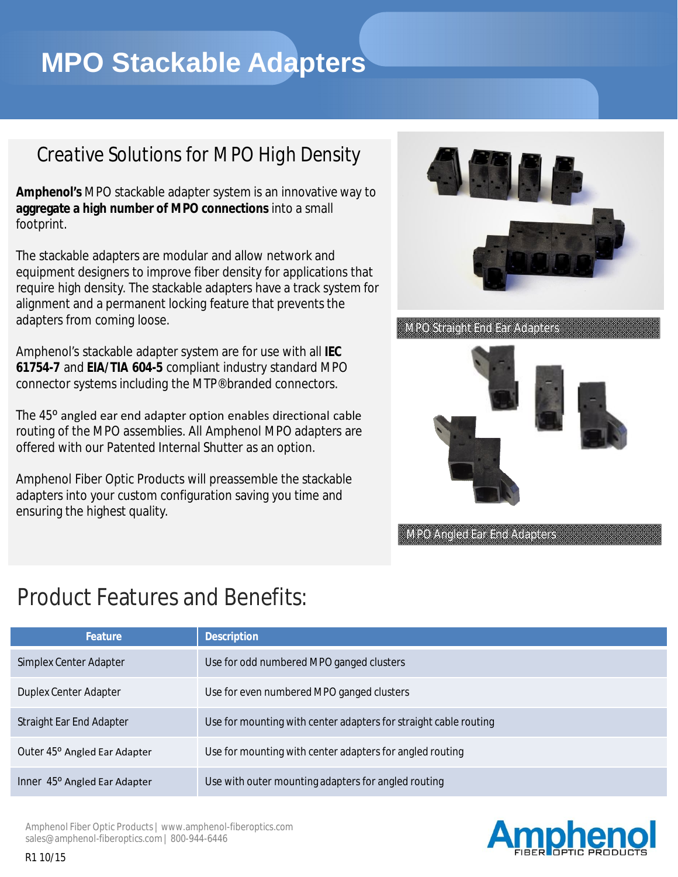# **MPO Stackable Adapters**

### *Creative Solutions for MPO High Density*

**Amphenol's** MPO stackable adapter system is an innovative way to **aggregate a high number of MPO connections** into a small footprint.

The stackable adapters are modular and allow network and equipment designers to improve fiber density for applications that require high density. The stackable adapters have a track system for alignment and a permanent locking feature that prevents the adapters from coming loose.

Amphenol's stackable adapter system are for use with all **IEC 61754-7** and **EIA/TIA 604-5** compliant industry standard MPO connector systems including the MTP® branded connectors.

The 45<sup>o</sup> angled ear end adapter option enables directional cable routing of the MPO assemblies. All Amphenol MPO adapters are offered with our Patented Internal Shutter as an option.

Amphenol Fiber Optic Products will preassemble the stackable adapters into your custom configuration saving you time and ensuring the highest quality.



MPO Straight End Ear Adapters



MPO Angled Ear End Adapters

## Product Features and Benefits:

| <b>Feature</b>               | <b>Description</b>                                               |
|------------------------------|------------------------------------------------------------------|
| Simplex Center Adapter       | Use for odd numbered MPO ganged clusters                         |
| Duplex Center Adapter        | Use for even numbered MPO ganged clusters                        |
| Straight Ear End Adapter     | Use for mounting with center adapters for straight cable routing |
| Outer 45° Angled Ear Adapter | Use for mounting with center adapters for angled routing         |
| Inner 45° Angled Ear Adapter | Use with outer mounting adapters for angled routing              |



Amphenol Fiber Optic Products | www.amphenol-fiberoptics.com sales@amphenol-fiberoptics.com | 800-944-6446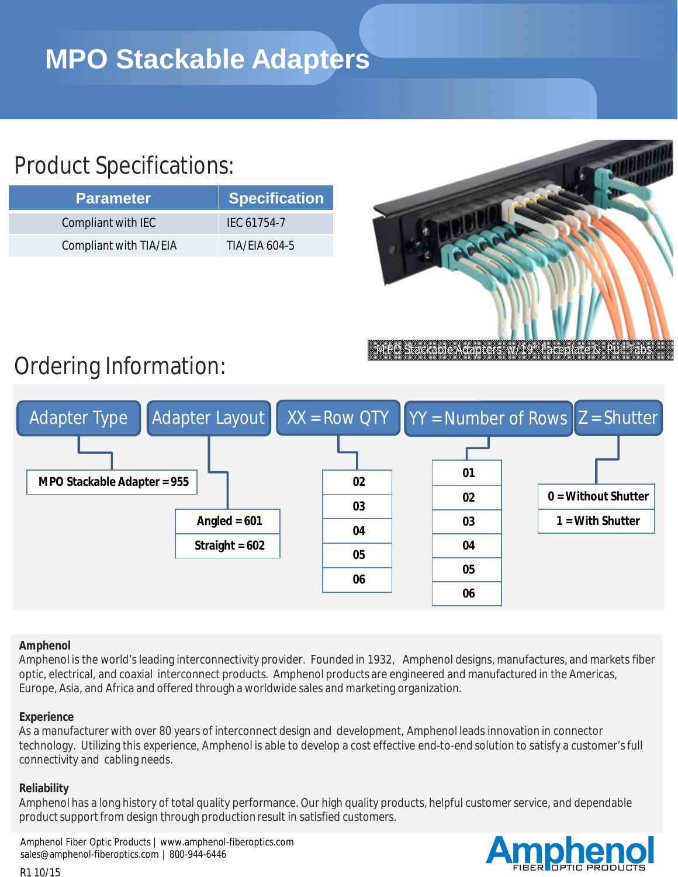## Product Specifications:

| <b>Parameter</b>       | Specification |
|------------------------|---------------|
| Compliant with IEC     | IFC 61754-7   |
| Compliant with TIA/EIA | TIA/FIA 604-5 |



## Ordering Information:



#### **Amphenol**

Amphenol is the world's leading interconnectivity provider. Founded in 1932, Amphenol designs, manufactures, and markets fiber optic, electrical, and coaxial interconnect products. Amphenol products are engineered and manufactured in the Americas, Europe, Asia, and Africa and offered through a worldwide sales and marketing organization.

#### **Experience**

As a manufacturer with over 80 years of interconnect design and development, Amphenol leads innovation in connector technology. Utilizing this experience, Amphenol is able to develop a cost effective end-to-end solution to satisfy a customer'sfull connectivity and cabling needs.

#### **Reliability**

Amphenol has a long history of total quality performance. Our high quality products, helpful customer service, and dependable product support from design through production result in satisfied customers.

Amphenol Fiber Optic Products | www.amphenol-fiberoptics.com sales@amphenol-fiberoptics.com | 800-944-6446

#### R1 10/15